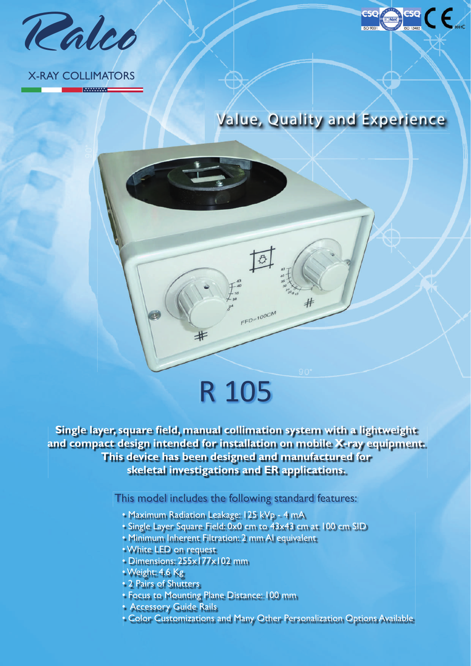

### X-RAY COLLIMATORS

**MANAWAT** 



## R 105

#

 $\overline{\mathcal{B}}$ 

 $FFD=100CM$ 

**Single layer, square field, manual collimation system with a lightweight and compact design intended for installation on mobile X-ray equipment. This device has been designed and manufactured for skeletal investigations and ER applications.**

This model includes the following standard features:

- Maximum Radiation Leakage: 125 kVp 4 mA
- Single Layer Square Field: 0x0 cm to 43x43 cm at 100 cm SID
- Minimum Inherent Filtration: 2 mm Al equivalent
- White LED on request
- Dimensions: 255x177x102 mm
- Weight: 4.6 Kg
- 2 Pairs of Shutters
- Focus to Mounting Plane Distance: 100 mm
- Accessory Guide Rails
- Color Customizations and Many Other Personalization Options Available